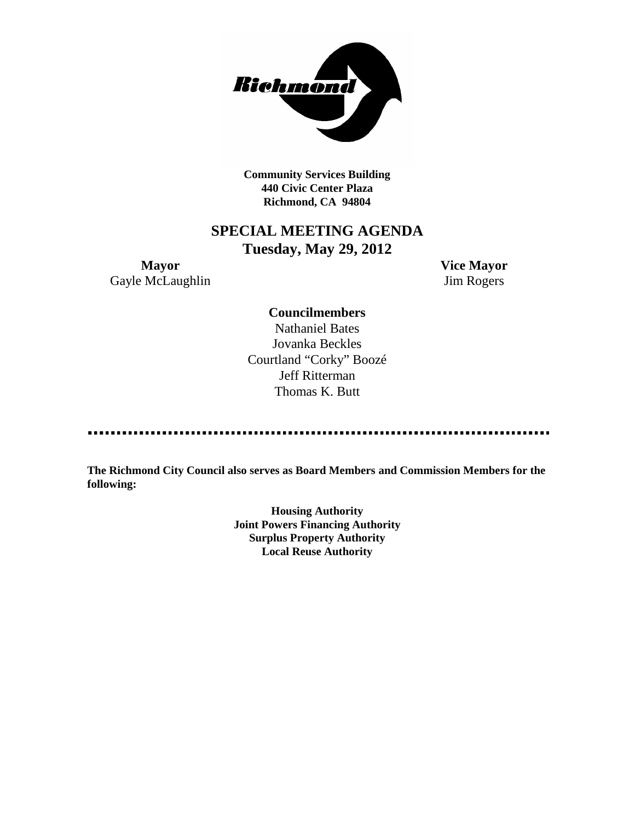

**Community Services Building 440 Civic Center Plaza Richmond, CA 94804**

# **SPECIAL MEETING AGENDA Tuesday, May 29, 2012**

**Mayor Vice Mayor** Gayle McLaughlin Jim Rogers

> **Councilmembers** Nathaniel Bates Jovanka Beckles Courtland "Corky" Boozé

Jeff Ritterman Thomas K. Butt

**The Richmond City Council also serves as Board Members and Commission Members for the following:**

> **Housing Authority Joint Powers Financing Authority Surplus Property Authority Local Reuse Authority**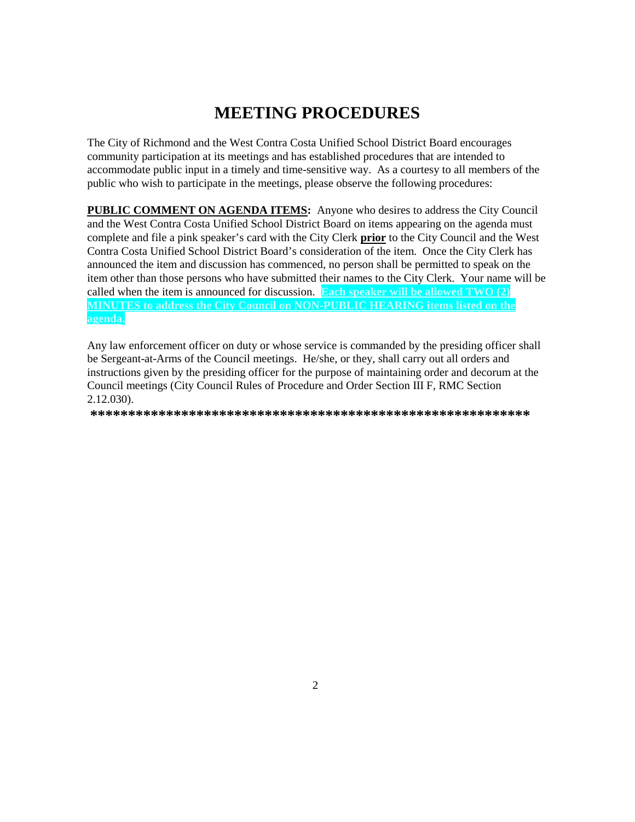# **MEETING PROCEDURES**

The City of Richmond and the West Contra Costa Unified School District Board encourages community participation at its meetings and has established procedures that are intended to accommodate public input in a timely and time-sensitive way. As a courtesy to all members of the public who wish to participate in the meetings, please observe the following procedures:

**PUBLIC COMMENT ON AGENDA ITEMS:** Anyone who desires to address the City Council and the West Contra Costa Unified School District Board on items appearing on the agenda must complete and file a pink speaker's card with the City Clerk prior to the City Council and the West Contra Costa Unified School District Board's consideration of the item. Once the City Clerk has announced the item and discussion has commenced, no person shall be permitted to speak on the item other than those persons who have submitted their names to the City Clerk. Your name will be called when the item is announced for discussion. Each speaker will be allowed TWO  $(2)$ MINUTES to address the City Council on NON-PUBLIC HEARING items listed on the agenda.

Any law enforcement officer on duty or whose service is commanded by the presiding officer shall be Sergeant-at-Arms of the Council meetings. He/she, or they, shall carry out all orders and instructions given by the presiding officer for the purpose of maintaining order and decorum at the Council meetings (City Council Rules of Procedure and Order Section III F, RMC Section  $2.12.030$ ).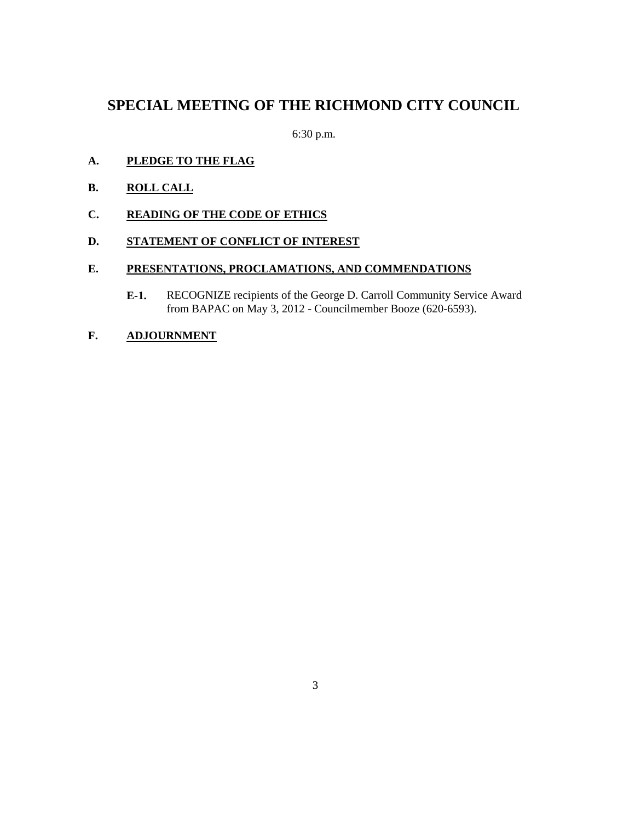### **SPECIAL MEETING OF THE RICHMOND CITY COUNCIL**

6:30 p.m.

- **A. PLEDGE TO THE FLAG**
- **B. ROLL CALL**
- **C. READING OF THE CODE OF ETHICS**

### **D. STATEMENT OF CONFLICT OF INTEREST**

### **E. PRESENTATIONS, PROCLAMATIONS, AND COMMENDATIONS**

- **E-1.** RECOGNIZE recipients of the George D. Carroll Community Service Award from BAPAC on May 3, 2012 - Councilmember Booze (620-6593).
- **F. ADJOURNMENT**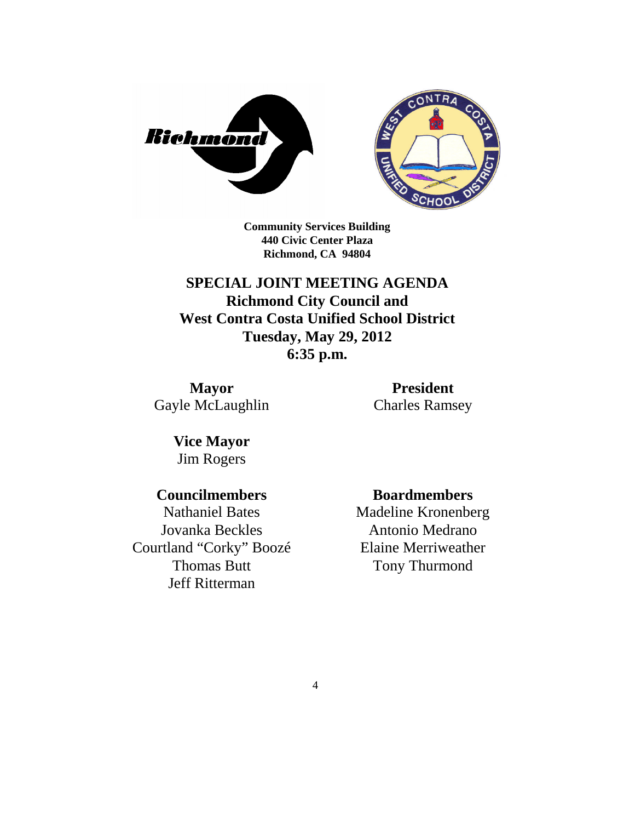



**Community Services Building 440 Civic Center Plaza Richmond, CA 94804**

**SPECIAL JOINT MEETING AGENDA Richmond City Council and West Contra Costa Unified School District Tuesday, May 29, 2012 6:35 p.m.**

**Mayor** Gayle McLaughlin

**President** Charles Ramsey

**Vice Mayor** Jim Rogers

### **Councilmembers**

Nathaniel Bates Jovanka Beckles Courtland "Corky" Boozé Thomas Butt Jeff Ritterman

### **Boardmembers**

Madeline Kronenberg Antonio Medrano Elaine Merriweather Tony Thurmond